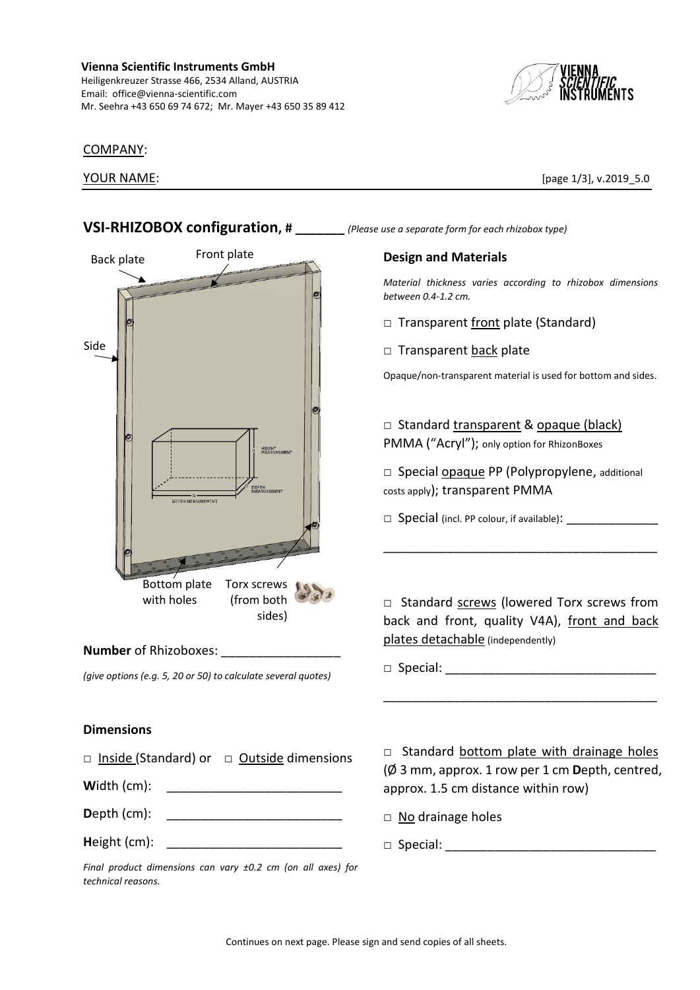#### **Vienna Scientific Instruments GmbH** Heiligenkreuzer Strasse 466, 2534 Alland, AUSTRIA Email: office@vienna-scientific.com Mr. Seehra +43 650 69 74 672; Mr. Mayer +43 650 35 89 412



#### COMPANY:

YOUR NAME: [page 1/3], v.2019 5.0



#### Continues on next page. Please sign and send copies of all sheets.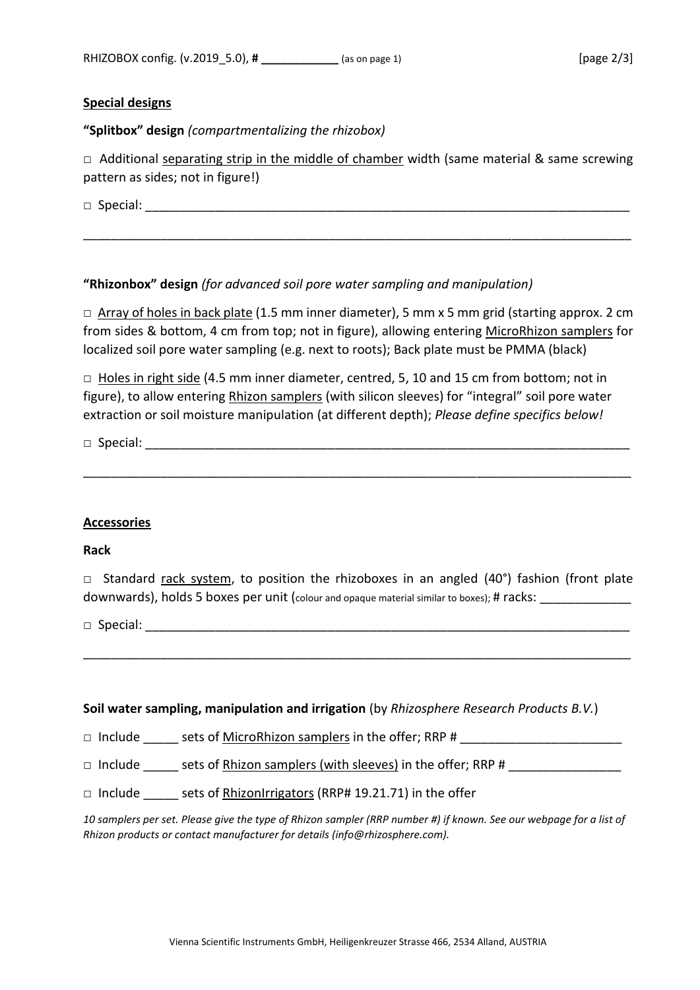## **Special designs**

**"Splitbox" design** *(compartmentalizing the rhizobox)*

 $\Box$  Additional separating strip in the middle of chamber width (same material & same screwing pattern as sides; not in figure!)

\_\_\_\_\_\_\_\_\_\_\_\_\_\_\_\_\_\_\_\_\_\_\_\_\_\_\_\_\_\_\_\_\_\_\_\_\_\_\_\_\_\_\_\_\_\_\_\_\_\_\_\_\_\_\_\_\_\_\_\_\_\_\_\_\_\_\_\_\_\_\_\_\_\_\_\_\_\_

 $\Box$  Special:  $\Box$ 

# **"Rhizonbox" design** *(for advanced soil pore water sampling and manipulation)*

 $\Box$  Array of holes in back plate (1.5 mm inner diameter), 5 mm x 5 mm grid (starting approx. 2 cm from sides & bottom, 4 cm from top; not in figure), allowing entering MicroRhizon samplers for localized soil pore water sampling (e.g. next to roots); Back plate must be PMMA (black)

□ Holes in right side (4.5 mm inner diameter, centred, 5, 10 and 15 cm from bottom; not in figure), to allow entering Rhizon samplers (with silicon sleeves) for "integral" soil pore water extraction or soil moisture manipulation (at different depth); *Please define specifics below!*

\_\_\_\_\_\_\_\_\_\_\_\_\_\_\_\_\_\_\_\_\_\_\_\_\_\_\_\_\_\_\_\_\_\_\_\_\_\_\_\_\_\_\_\_\_\_\_\_\_\_\_\_\_\_\_\_\_\_\_\_\_\_\_\_\_\_\_\_\_\_\_\_\_\_\_\_\_\_

 $\Box$  Special:

### **Accessories**

### **Rack**

□ Standard rack system, to position the rhizoboxes in an angled  $(40^{\circ})$  fashion (front plate downwards), holds 5 boxes per unit (colour and opaque material similar to boxes); # racks:

\_\_\_\_\_\_\_\_\_\_\_\_\_\_\_\_\_\_\_\_\_\_\_\_\_\_\_\_\_\_\_\_\_\_\_\_\_\_\_\_\_\_\_\_\_\_\_\_\_\_\_\_\_\_\_\_\_\_\_\_\_\_\_\_\_\_\_\_\_\_\_\_\_\_\_\_\_\_

 $\Box$  Special:  $\Box$ 

### **Soil water sampling, manipulation and irrigation** (by *Rhizosphere Research Products B.V.*)

□ Include \_\_\_\_\_ sets of MicroRhizon samplers in the offer; RRP # \_\_\_\_\_\_\_\_\_\_\_\_\_\_\_\_\_\_\_\_\_\_\_

□ Include \_\_\_\_\_\_ sets of Rhizon samplers (with sleeves) in the offer; RRP # \_\_\_\_\_\_\_\_\_\_\_

 $\Box$  Include sets of RhizonIrrigators (RRP# 19.21.71) in the offer

*10 samplers per set. Please give the type of Rhizon sampler (RRP number #) if known. See our webpage for a list of Rhizon products or contact manufacturer for details (info@rhizosphere.com).*